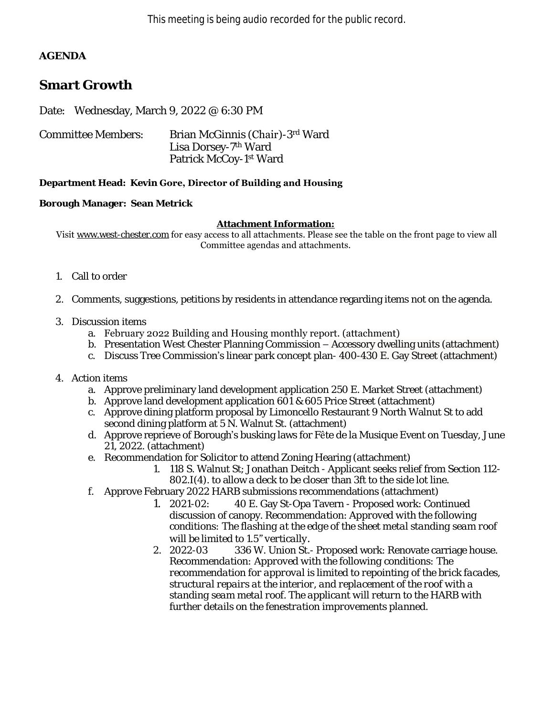## **AGENDA**

# **Smart Growth**

Date: Wednesday, March 9, 2022 @ 6:30 PM

| Committee Members: | Brian McGinnis (Chair)-3rd Ward    |
|--------------------|------------------------------------|
|                    | Lisa Dorsey-7 <sup>th</sup> Ward   |
|                    | Patrick McCoy-1 <sup>st</sup> Ward |

### **Department Head: Kevin Gore, Director of Building and Housing**

### **Borough Manager: Sean Metrick**

#### **Attachment Information:**

Visit [www.west-chester.com](http://www.west-chester.com/) for easy access to all attachments. Please see the table on the front page to view all Committee agendas and attachments.

- 1. Call to order
- 2. Comments, suggestions, petitions by residents in attendance regarding items not on the agenda.
- 3. Discussion items
	- a. February 2022 Building and Housing monthly report. (attachment)
	- b. Presentation West Chester Planning Commission Accessory dwelling units (attachment)
	- c. Discuss Tree Commission's linear park concept plan- 400-430 E. Gay Street (attachment)
- 4. Action items
	- a. Approve preliminary land development application 250 E. Market Street (attachment)
	- b. Approve land development application 601 & 605 Price Street (attachment)
	- c. Approve dining platform proposal by Limoncello Restaurant 9 North Walnut St to add second dining platform at 5 N. Walnut St. (attachment)
	- d. Approve reprieve of Borough's busking laws for Fête de la Musique Event on Tuesday, June 21, 2022. (attachment)
	- e. Recommendation for Solicitor to attend Zoning Hearing (attachment)
		- 1. 118 S. Walnut St; Jonathan Deitch Applicant seeks relief from Section 112- 802.I(4). to allow a deck to be closer than 3ft to the side lot line.
	- f. Approve February 2022 HARB submissions recommendations (attachment)
		- *1.* 2021-02: 40 E. Gay St-Opa Tavern Proposed work: Continued discussion of canopy. *Recommendation*: *Approved with the following conditions: The flashing at the edge of the sheet metal standing seam roof will be limited to 1.5<sup><i>n*</sup></sup> *vertically.*<br>2. 2022-03 336 W. Union St.
		- **236 W. Union St.- Proposed work: Renovate carriage house.** *Recommendation: Approved with the following conditions: The recommendation for approval is limited to repointing of the brick facades, structural repairs at the interior, and replacement of the roof with a standing seam metal roof. The applicant will return to the HARB with further details on the fenestration improvements planned.*